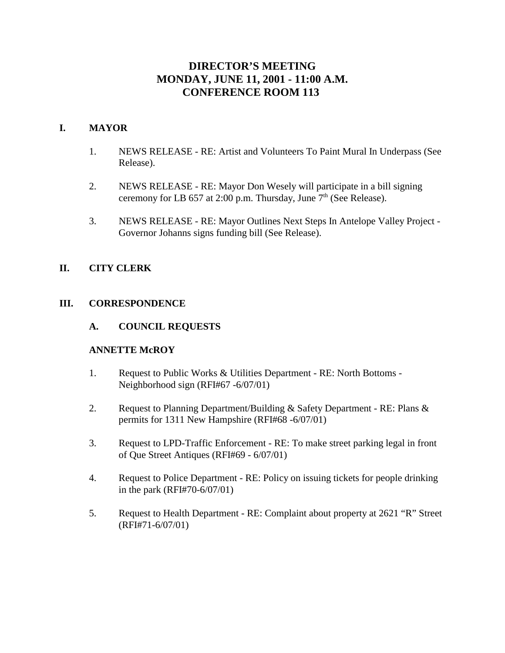# **DIRECTOR'S MEETING MONDAY, JUNE 11, 2001 - 11:00 A.M. CONFERENCE ROOM 113**

## **I. MAYOR**

- 1. NEWS RELEASE RE: Artist and Volunteers To Paint Mural In Underpass (See Release).
- 2. NEWS RELEASE RE: Mayor Don Wesely will participate in a bill signing ceremony for LB 657 at 2:00 p.m. Thursday, June  $7<sup>th</sup>$  (See Release).
- 3. NEWS RELEASE RE: Mayor Outlines Next Steps In Antelope Valley Project Governor Johanns signs funding bill (See Release).

## **II. CITY CLERK**

## **III. CORRESPONDENCE**

**A. COUNCIL REQUESTS**

## **ANNETTE McROY**

- 1. Request to Public Works & Utilities Department RE: North Bottoms Neighborhood sign (RFI#67 -6/07/01)
- 2. Request to Planning Department/Building & Safety Department RE: Plans & permits for 1311 New Hampshire (RFI#68 -6/07/01)
- 3. Request to LPD-Traffic Enforcement RE: To make street parking legal in front of Que Street Antiques (RFI#69 - 6/07/01)
- 4. Request to Police Department RE: Policy on issuing tickets for people drinking in the park (RFI#70-6/07/01)
- 5. Request to Health Department RE: Complaint about property at 2621 "R" Street (RFI#71-6/07/01)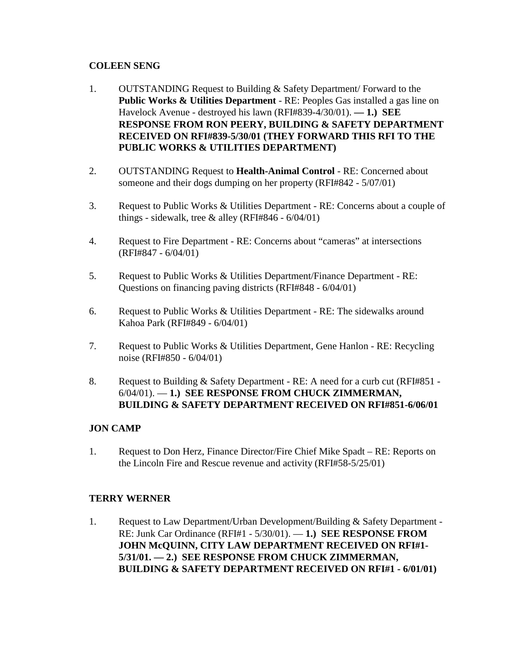## **COLEEN SENG**

- 1. OUTSTANDING Request to Building & Safety Department/ Forward to the **Public Works & Utilities Department** - RE: Peoples Gas installed a gas line on Havelock Avenue - destroyed his lawn (RFI#839-4/30/01). **— 1.) SEE RESPONSE FROM RON PEERY, BUILDING & SAFETY DEPARTMENT RECEIVED ON RFI#839-5/30/01 (THEY FORWARD THIS RFI TO THE PUBLIC WORKS & UTILITIES DEPARTMENT)**
- 2. OUTSTANDING Request to **Health-Animal Control** RE: Concerned about someone and their dogs dumping on her property (RFI#842 - 5/07/01)
- 3. Request to Public Works & Utilities Department RE: Concerns about a couple of things - sidewalk, tree & alley (RFI#846 -  $6/04/01$ )
- 4. Request to Fire Department RE: Concerns about "cameras" at intersections (RFI#847 - 6/04/01)
- 5. Request to Public Works & Utilities Department/Finance Department RE: Questions on financing paving districts (RFI#848 - 6/04/01)
- 6. Request to Public Works & Utilities Department RE: The sidewalks around Kahoa Park (RFI#849 - 6/04/01)
- 7. Request to Public Works & Utilities Department, Gene Hanlon RE: Recycling noise (RFI#850 - 6/04/01)
- 8. Request to Building & Safety Department RE: A need for a curb cut (RFI#851 6/04/01). — **1.) SEE RESPONSE FROM CHUCK ZIMMERMAN, BUILDING & SAFETY DEPARTMENT RECEIVED ON RFI#851-6/06/01**

# **JON CAMP**

1. Request to Don Herz, Finance Director/Fire Chief Mike Spadt – RE: Reports on the Lincoln Fire and Rescue revenue and activity (RFI#58-5/25/01)

## **TERRY WERNER**

1. Request to Law Department/Urban Development/Building & Safety Department - RE: Junk Car Ordinance (RFI#1 - 5/30/01). — **1.) SEE RESPONSE FROM JOHN McQUINN, CITY LAW DEPARTMENT RECEIVED ON RFI#1- 5/31/01. — 2.) SEE RESPONSE FROM CHUCK ZIMMERMAN, BUILDING & SAFETY DEPARTMENT RECEIVED ON RFI#1 - 6/01/01)**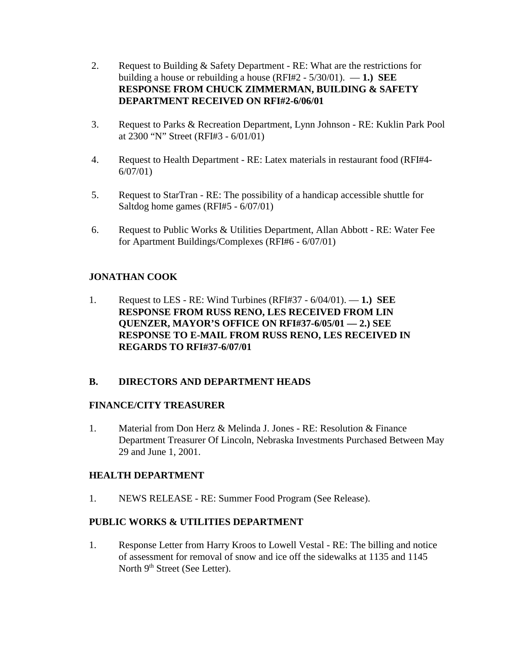- 2. Request to Building & Safety Department RE: What are the restrictions for building a house or rebuilding a house (RFI#2 - 5/30/01). — **1.) SEE RESPONSE FROM CHUCK ZIMMERMAN, BUILDING & SAFETY DEPARTMENT RECEIVED ON RFI#2-6/06/01**
- 3. Request to Parks & Recreation Department, Lynn Johnson RE: Kuklin Park Pool at 2300 "N" Street (RFI#3 - 6/01/01)
- 4. Request to Health Department RE: Latex materials in restaurant food (RFI#4- 6/07/01)
- 5. Request to StarTran RE: The possibility of a handicap accessible shuttle for Saltdog home games (RFI#5 - 6/07/01)
- 6. Request to Public Works & Utilities Department, Allan Abbott RE: Water Fee for Apartment Buildings/Complexes (RFI#6 - 6/07/01)

# **JONATHAN COOK**

1. Request to LES - RE: Wind Turbines (RFI#37 - 6/04/01). — **1.) SEE RESPONSE FROM RUSS RENO, LES RECEIVED FROM LIN QUENZER, MAYOR'S OFFICE ON RFI#37-6/05/01 — 2.) SEE RESPONSE TO E-MAIL FROM RUSS RENO, LES RECEIVED IN REGARDS TO RFI#37-6/07/01** 

## **B. DIRECTORS AND DEPARTMENT HEADS**

## **FINANCE/CITY TREASURER**

1. Material from Don Herz & Melinda J. Jones - RE: Resolution & Finance Department Treasurer Of Lincoln, Nebraska Investments Purchased Between May 29 and June 1, 2001.

## **HEALTH DEPARTMENT**

1. NEWS RELEASE - RE: Summer Food Program (See Release).

## **PUBLIC WORKS & UTILITIES DEPARTMENT**

1. Response Letter from Harry Kroos to Lowell Vestal - RE: The billing and notice of assessment for removal of snow and ice off the sidewalks at 1135 and 1145 North 9<sup>th</sup> Street (See Letter).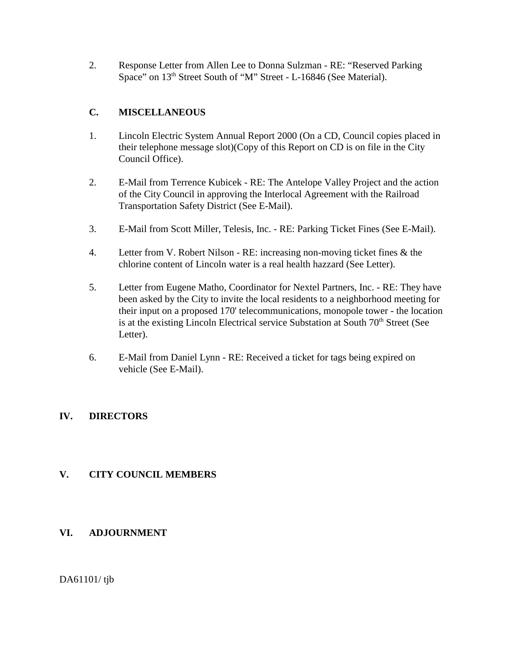2. Response Letter from Allen Lee to Donna Sulzman - RE: "Reserved Parking Space" on 13<sup>th</sup> Street South of "M" Street - L-16846 (See Material).

# **C. MISCELLANEOUS**

- 1. Lincoln Electric System Annual Report 2000 (On a CD, Council copies placed in their telephone message slot)(Copy of this Report on CD is on file in the City Council Office).
- 2. E-Mail from Terrence Kubicek RE: The Antelope Valley Project and the action of the City Council in approving the Interlocal Agreement with the Railroad Transportation Safety District (See E-Mail).
- 3. E-Mail from Scott Miller, Telesis, Inc. RE: Parking Ticket Fines (See E-Mail).
- 4. Letter from V. Robert Nilson RE: increasing non-moving ticket fines & the chlorine content of Lincoln water is a real health hazzard (See Letter).
- 5. Letter from Eugene Matho, Coordinator for Nextel Partners, Inc. RE: They have been asked by the City to invite the local residents to a neighborhood meeting for their input on a proposed 170' telecommunications, monopole tower - the location is at the existing Lincoln Electrical service Substation at South 70<sup>th</sup> Street (See Letter).
- 6. E-Mail from Daniel Lynn RE: Received a ticket for tags being expired on vehicle (See E-Mail).

# **IV. DIRECTORS**

# **V. CITY COUNCIL MEMBERS**

# **VI. ADJOURNMENT**

DA61101/ tjb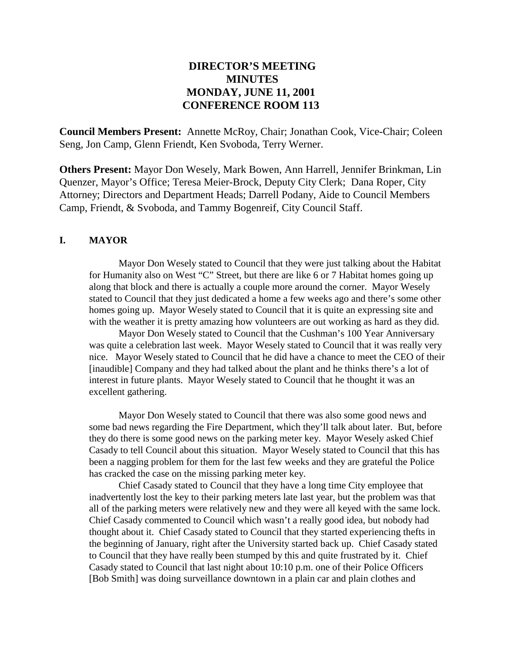# **DIRECTOR'S MEETING MINUTES MONDAY, JUNE 11, 2001 CONFERENCE ROOM 113**

**Council Members Present:** Annette McRoy, Chair; Jonathan Cook, Vice-Chair; Coleen Seng, Jon Camp, Glenn Friendt, Ken Svoboda, Terry Werner.

**Others Present:** Mayor Don Wesely, Mark Bowen, Ann Harrell, Jennifer Brinkman, Lin Quenzer, Mayor's Office; Teresa Meier-Brock, Deputy City Clerk; Dana Roper, City Attorney; Directors and Department Heads; Darrell Podany, Aide to Council Members Camp, Friendt, & Svoboda, and Tammy Bogenreif, City Council Staff.

#### **I. MAYOR**

Mayor Don Wesely stated to Council that they were just talking about the Habitat for Humanity also on West "C" Street, but there are like 6 or 7 Habitat homes going up along that block and there is actually a couple more around the corner. Mayor Wesely stated to Council that they just dedicated a home a few weeks ago and there's some other homes going up. Mayor Wesely stated to Council that it is quite an expressing site and with the weather it is pretty amazing how volunteers are out working as hard as they did.

Mayor Don Wesely stated to Council that the Cushman's 100 Year Anniversary was quite a celebration last week. Mayor Wesely stated to Council that it was really very nice. Mayor Wesely stated to Council that he did have a chance to meet the CEO of their [inaudible] Company and they had talked about the plant and he thinks there's a lot of interest in future plants. Mayor Wesely stated to Council that he thought it was an excellent gathering.

Mayor Don Wesely stated to Council that there was also some good news and some bad news regarding the Fire Department, which they'll talk about later. But, before they do there is some good news on the parking meter key. Mayor Wesely asked Chief Casady to tell Council about this situation. Mayor Wesely stated to Council that this has been a nagging problem for them for the last few weeks and they are grateful the Police has cracked the case on the missing parking meter key.

Chief Casady stated to Council that they have a long time City employee that inadvertently lost the key to their parking meters late last year, but the problem was that all of the parking meters were relatively new and they were all keyed with the same lock. Chief Casady commented to Council which wasn't a really good idea, but nobody had thought about it. Chief Casady stated to Council that they started experiencing thefts in the beginning of January, right after the University started back up. Chief Casady stated to Council that they have really been stumped by this and quite frustrated by it. Chief Casady stated to Council that last night about 10:10 p.m. one of their Police Officers [Bob Smith] was doing surveillance downtown in a plain car and plain clothes and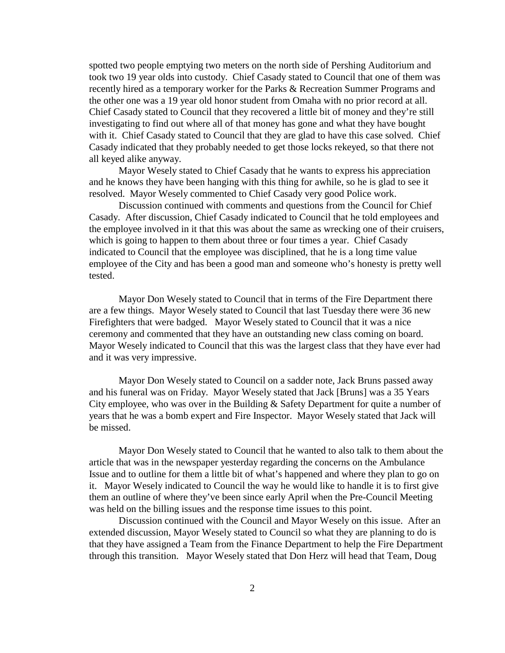spotted two people emptying two meters on the north side of Pershing Auditorium and took two 19 year olds into custody. Chief Casady stated to Council that one of them was recently hired as a temporary worker for the Parks & Recreation Summer Programs and the other one was a 19 year old honor student from Omaha with no prior record at all. Chief Casady stated to Council that they recovered a little bit of money and they're still investigating to find out where all of that money has gone and what they have bought with it. Chief Casady stated to Council that they are glad to have this case solved. Chief Casady indicated that they probably needed to get those locks rekeyed, so that there not all keyed alike anyway.

Mayor Wesely stated to Chief Casady that he wants to express his appreciation and he knows they have been hanging with this thing for awhile, so he is glad to see it resolved. Mayor Wesely commented to Chief Casady very good Police work.

Discussion continued with comments and questions from the Council for Chief Casady. After discussion, Chief Casady indicated to Council that he told employees and the employee involved in it that this was about the same as wrecking one of their cruisers, which is going to happen to them about three or four times a year. Chief Casady indicated to Council that the employee was disciplined, that he is a long time value employee of the City and has been a good man and someone who's honesty is pretty well tested.

Mayor Don Wesely stated to Council that in terms of the Fire Department there are a few things. Mayor Wesely stated to Council that last Tuesday there were 36 new Firefighters that were badged. Mayor Wesely stated to Council that it was a nice ceremony and commented that they have an outstanding new class coming on board. Mayor Wesely indicated to Council that this was the largest class that they have ever had and it was very impressive.

Mayor Don Wesely stated to Council on a sadder note, Jack Bruns passed away and his funeral was on Friday. Mayor Wesely stated that Jack [Bruns] was a 35 Years City employee, who was over in the Building & Safety Department for quite a number of years that he was a bomb expert and Fire Inspector. Mayor Wesely stated that Jack will be missed.

Mayor Don Wesely stated to Council that he wanted to also talk to them about the article that was in the newspaper yesterday regarding the concerns on the Ambulance Issue and to outline for them a little bit of what's happened and where they plan to go on it. Mayor Wesely indicated to Council the way he would like to handle it is to first give them an outline of where they've been since early April when the Pre-Council Meeting was held on the billing issues and the response time issues to this point.

Discussion continued with the Council and Mayor Wesely on this issue. After an extended discussion, Mayor Wesely stated to Council so what they are planning to do is that they have assigned a Team from the Finance Department to help the Fire Department through this transition. Mayor Wesely stated that Don Herz will head that Team, Doug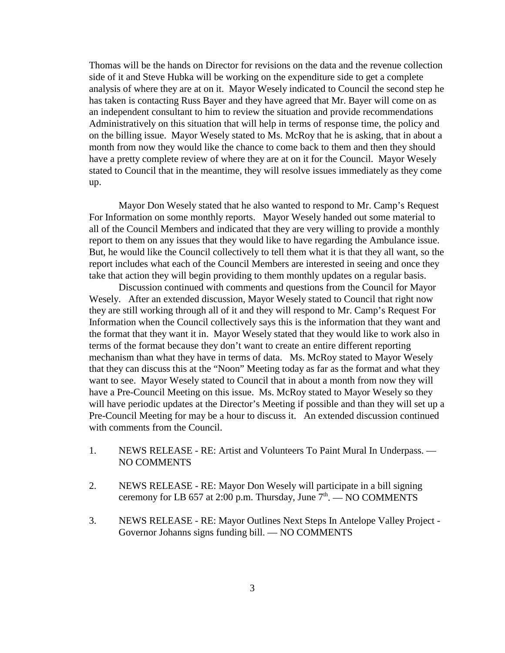Thomas will be the hands on Director for revisions on the data and the revenue collection side of it and Steve Hubka will be working on the expenditure side to get a complete analysis of where they are at on it. Mayor Wesely indicated to Council the second step he has taken is contacting Russ Bayer and they have agreed that Mr. Bayer will come on as an independent consultant to him to review the situation and provide recommendations Administratively on this situation that will help in terms of response time, the policy and on the billing issue. Mayor Wesely stated to Ms. McRoy that he is asking, that in about a month from now they would like the chance to come back to them and then they should have a pretty complete review of where they are at on it for the Council. Mayor Wesely stated to Council that in the meantime, they will resolve issues immediately as they come up.

Mayor Don Wesely stated that he also wanted to respond to Mr. Camp's Request For Information on some monthly reports. Mayor Wesely handed out some material to all of the Council Members and indicated that they are very willing to provide a monthly report to them on any issues that they would like to have regarding the Ambulance issue. But, he would like the Council collectively to tell them what it is that they all want, so the report includes what each of the Council Members are interested in seeing and once they take that action they will begin providing to them monthly updates on a regular basis.

Discussion continued with comments and questions from the Council for Mayor Wesely. After an extended discussion, Mayor Wesely stated to Council that right now they are still working through all of it and they will respond to Mr. Camp's Request For Information when the Council collectively says this is the information that they want and the format that they want it in. Mayor Wesely stated that they would like to work also in terms of the format because they don't want to create an entire different reporting mechanism than what they have in terms of data. Ms. McRoy stated to Mayor Wesely that they can discuss this at the "Noon" Meeting today as far as the format and what they want to see. Mayor Wesely stated to Council that in about a month from now they will have a Pre-Council Meeting on this issue. Ms. McRoy stated to Mayor Wesely so they will have periodic updates at the Director's Meeting if possible and than they will set up a Pre-Council Meeting for may be a hour to discuss it. An extended discussion continued with comments from the Council.

- 1. NEWS RELEASE RE: Artist and Volunteers To Paint Mural In Underpass. NO COMMENTS
- 2. NEWS RELEASE RE: Mayor Don Wesely will participate in a bill signing ceremony for LB 657 at 2:00 p.m. Thursday, June  $7<sup>th</sup>$ .  $-$  NO COMMENTS
- 3. NEWS RELEASE RE: Mayor Outlines Next Steps In Antelope Valley Project Governor Johanns signs funding bill. — NO COMMENTS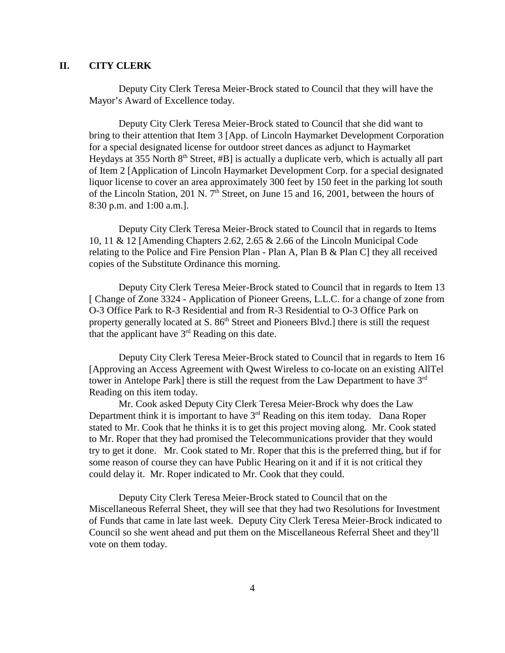## **II. CITY CLERK**

Deputy City Clerk Teresa Meier-Brock stated to Council that they will have the Mayor's Award of Excellence today.

Deputy City Clerk Teresa Meier-Brock stated to Council that she did want to bring to their attention that Item 3 [App. of Lincoln Haymarket Development Corporation for a special designated license for outdoor street dances as adjunct to Haymarket Heydays at 355 North  $8<sup>th</sup>$  Street, #B] is actually a duplicate verb, which is actually all part of Item 2 [Application of Lincoln Haymarket Development Corp. for a special designated liquor license to cover an area approximately 300 feet by 150 feet in the parking lot south of the Lincoln Station, 201 N.  $7<sup>th</sup>$  Street, on June 15 and 16, 2001, between the hours of 8:30 p.m. and 1:00 a.m.].

Deputy City Clerk Teresa Meier-Brock stated to Council that in regards to Items 10, 11 & 12 [Amending Chapters 2.62, 2.65 & 2.66 of the Lincoln Municipal Code relating to the Police and Fire Pension Plan - Plan A, Plan B & Plan C] they all received copies of the Substitute Ordinance this morning.

Deputy City Clerk Teresa Meier-Brock stated to Council that in regards to Item 13 [ Change of Zone 3324 - Application of Pioneer Greens, L.L.C. for a change of zone from O-3 Office Park to R-3 Residential and from R-3 Residential to O-3 Office Park on property generally located at  $S. 86<sup>th</sup>$  Street and Pioneers Blvd.] there is still the request that the applicant have  $3<sup>rd</sup>$  Reading on this date.

Deputy City Clerk Teresa Meier-Brock stated to Council that in regards to Item 16 [Approving an Access Agreement with Qwest Wireless to co-locate on an existing AllTel tower in Antelope Park] there is still the request from the Law Department to have  $3<sup>rd</sup>$ Reading on this item today.

Mr. Cook asked Deputy City Clerk Teresa Meier-Brock why does the Law Department think it is important to have  $3<sup>rd</sup>$  Reading on this item today. Dana Roper stated to Mr. Cook that he thinks it is to get this project moving along. Mr. Cook stated to Mr. Roper that they had promised the Telecommunications provider that they would try to get it done. Mr. Cook stated to Mr. Roper that this is the preferred thing, but if for some reason of course they can have Public Hearing on it and if it is not critical they could delay it. Mr. Roper indicated to Mr. Cook that they could.

Deputy City Clerk Teresa Meier-Brock stated to Council that on the Miscellaneous Referral Sheet, they will see that they had two Resolutions for Investment of Funds that came in late last week. Deputy City Clerk Teresa Meier-Brock indicated to Council so she went ahead and put them on the Miscellaneous Referral Sheet and they'll vote on them today.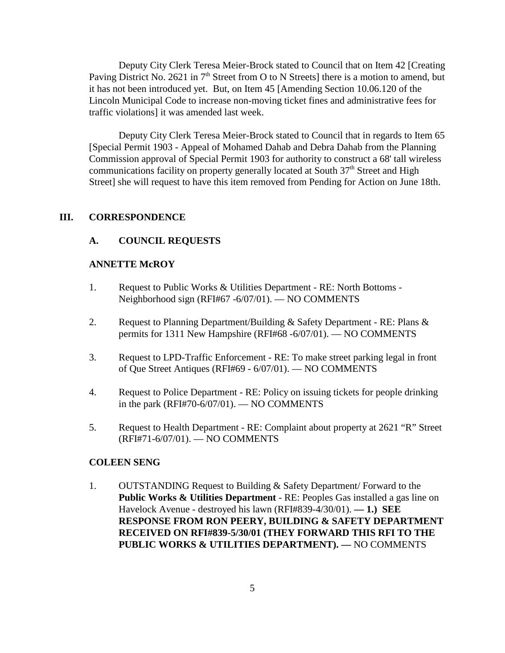Deputy City Clerk Teresa Meier-Brock stated to Council that on Item 42 [Creating Paving District No. 2621 in  $7<sup>th</sup>$  Street from O to N Streets] there is a motion to amend, but it has not been introduced yet. But, on Item 45 [Amending Section 10.06.120 of the Lincoln Municipal Code to increase non-moving ticket fines and administrative fees for traffic violations] it was amended last week.

Deputy City Clerk Teresa Meier-Brock stated to Council that in regards to Item 65 [Special Permit 1903 - Appeal of Mohamed Dahab and Debra Dahab from the Planning Commission approval of Special Permit 1903 for authority to construct a 68' tall wireless communications facility on property generally located at South 37<sup>th</sup> Street and High Street] she will request to have this item removed from Pending for Action on June 18th.

## **III. CORRESPONDENCE**

#### **A. COUNCIL REQUESTS**

#### **ANNETTE McROY**

- 1. Request to Public Works & Utilities Department RE: North Bottoms Neighborhood sign (RFI#67 -6/07/01). — NO COMMENTS
- 2. Request to Planning Department/Building & Safety Department RE: Plans & permits for 1311 New Hampshire (RFI#68 -6/07/01). — NO COMMENTS
- 3. Request to LPD-Traffic Enforcement RE: To make street parking legal in front of Que Street Antiques (RFI#69 - 6/07/01). — NO COMMENTS
- 4. Request to Police Department RE: Policy on issuing tickets for people drinking in the park (RFI#70-6/07/01). — NO COMMENTS
- 5. Request to Health Department RE: Complaint about property at 2621 "R" Street (RFI#71-6/07/01). — NO COMMENTS

#### **COLEEN SENG**

1. OUTSTANDING Request to Building & Safety Department/ Forward to the **Public Works & Utilities Department** - RE: Peoples Gas installed a gas line on Havelock Avenue - destroyed his lawn (RFI#839-4/30/01). **— 1.) SEE RESPONSE FROM RON PEERY, BUILDING & SAFETY DEPARTMENT RECEIVED ON RFI#839-5/30/01 (THEY FORWARD THIS RFI TO THE PUBLIC WORKS & UTILITIES DEPARTMENT). —** NO COMMENTS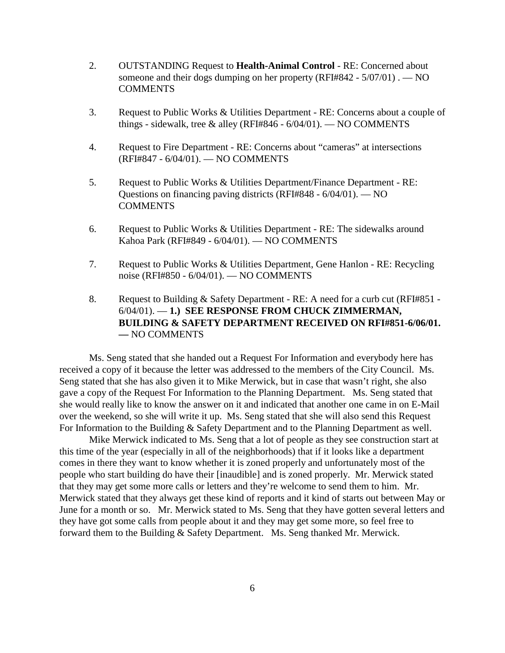- 2. OUTSTANDING Request to **Health-Animal Control** RE: Concerned about someone and their dogs dumping on her property (RFI#842 - 5/07/01) . — NO **COMMENTS**
- 3. Request to Public Works & Utilities Department RE: Concerns about a couple of things - sidewalk, tree & alley (RFI#846 -  $6/04/01$ ). — NO COMMENTS
- 4. Request to Fire Department RE: Concerns about "cameras" at intersections (RFI#847 - 6/04/01). — NO COMMENTS
- 5. Request to Public Works & Utilities Department/Finance Department RE: Questions on financing paving districts (RFI#848 - 6/04/01). — NO **COMMENTS**
- 6. Request to Public Works & Utilities Department RE: The sidewalks around Kahoa Park (RFI#849 - 6/04/01). — NO COMMENTS
- 7. Request to Public Works & Utilities Department, Gene Hanlon RE: Recycling noise (RFI#850 - 6/04/01). — NO COMMENTS
- 8. Request to Building & Safety Department RE: A need for a curb cut (RFI#851 -6/04/01). — **1.) SEE RESPONSE FROM CHUCK ZIMMERMAN, BUILDING & SAFETY DEPARTMENT RECEIVED ON RFI#851-6/06/01. —** NO COMMENTS

Ms. Seng stated that she handed out a Request For Information and everybody here has received a copy of it because the letter was addressed to the members of the City Council. Ms. Seng stated that she has also given it to Mike Merwick, but in case that wasn't right, she also gave a copy of the Request For Information to the Planning Department. Ms. Seng stated that she would really like to know the answer on it and indicated that another one came in on E-Mail over the weekend, so she will write it up. Ms. Seng stated that she will also send this Request For Information to the Building & Safety Department and to the Planning Department as well.

Mike Merwick indicated to Ms. Seng that a lot of people as they see construction start at this time of the year (especially in all of the neighborhoods) that if it looks like a department comes in there they want to know whether it is zoned properly and unfortunately most of the people who start building do have their [inaudible] and is zoned properly. Mr. Merwick stated that they may get some more calls or letters and they're welcome to send them to him. Mr. Merwick stated that they always get these kind of reports and it kind of starts out between May or June for a month or so. Mr. Merwick stated to Ms. Seng that they have gotten several letters and they have got some calls from people about it and they may get some more, so feel free to forward them to the Building & Safety Department. Ms. Seng thanked Mr. Merwick.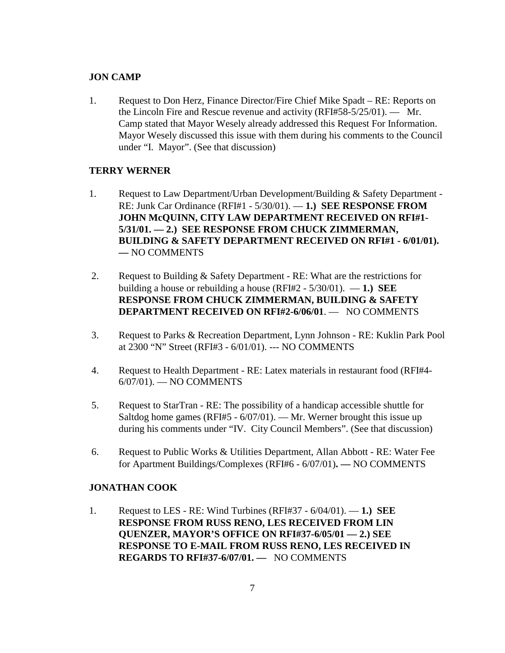#### **JON CAMP**

1. Request to Don Herz, Finance Director/Fire Chief Mike Spadt – RE: Reports on the Lincoln Fire and Rescue revenue and activity (RFI#58-5/25/01). — Mr. Camp stated that Mayor Wesely already addressed this Request For Information. Mayor Wesely discussed this issue with them during his comments to the Council under "I. Mayor". (See that discussion)

#### **TERRY WERNER**

- 1. Request to Law Department/Urban Development/Building & Safety Department RE: Junk Car Ordinance (RFI#1 - 5/30/01). — **1.) SEE RESPONSE FROM JOHN McQUINN, CITY LAW DEPARTMENT RECEIVED ON RFI#1- 5/31/01. — 2.) SEE RESPONSE FROM CHUCK ZIMMERMAN, BUILDING & SAFETY DEPARTMENT RECEIVED ON RFI#1 - 6/01/01). —** NO COMMENTS
- 2. Request to Building & Safety Department RE: What are the restrictions for building a house or rebuilding a house (RFI#2 - 5/30/01). — **1.) SEE RESPONSE FROM CHUCK ZIMMERMAN, BUILDING & SAFETY DEPARTMENT RECEIVED ON RFI#2-6/06/01**. — NO COMMENTS
- 3. Request to Parks & Recreation Department, Lynn Johnson RE: Kuklin Park Pool at 2300 "N" Street (RFI#3 - 6/01/01). --- NO COMMENTS
- 4. Request to Health Department RE: Latex materials in restaurant food (RFI#4- 6/07/01). — NO COMMENTS
- 5. Request to StarTran RE: The possibility of a handicap accessible shuttle for Saltdog home games (RFI#5 - 6/07/01). — Mr. Werner brought this issue up during his comments under "IV. City Council Members". (See that discussion)
- 6. Request to Public Works & Utilities Department, Allan Abbott RE: Water Fee for Apartment Buildings/Complexes (RFI#6 - 6/07/01)**. —** NO COMMENTS

#### **JONATHAN COOK**

1. Request to LES - RE: Wind Turbines (RFI#37 - 6/04/01). — **1.) SEE RESPONSE FROM RUSS RENO, LES RECEIVED FROM LIN QUENZER, MAYOR'S OFFICE ON RFI#37-6/05/01 — 2.) SEE RESPONSE TO E-MAIL FROM RUSS RENO, LES RECEIVED IN REGARDS TO RFI#37-6/07/01. —** NO COMMENTS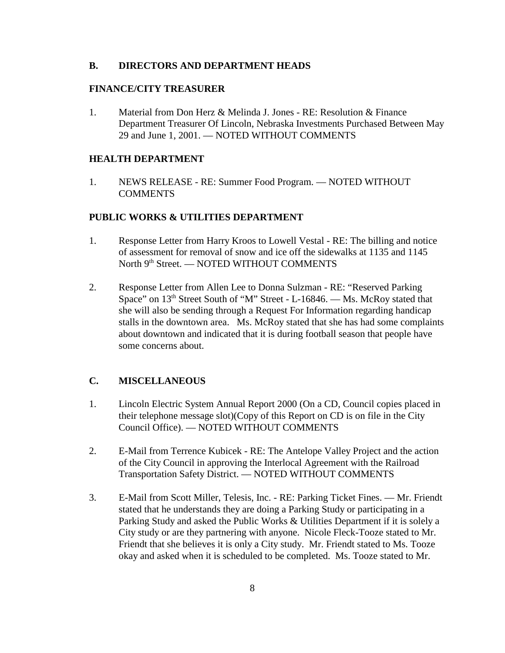#### **B. DIRECTORS AND DEPARTMENT HEADS**

#### **FINANCE/CITY TREASURER**

1. Material from Don Herz & Melinda J. Jones - RE: Resolution & Finance Department Treasurer Of Lincoln, Nebraska Investments Purchased Between May 29 and June 1, 2001. — NOTED WITHOUT COMMENTS

#### **HEALTH DEPARTMENT**

1. NEWS RELEASE - RE: Summer Food Program. — NOTED WITHOUT COMMENTS

## **PUBLIC WORKS & UTILITIES DEPARTMENT**

- 1. Response Letter from Harry Kroos to Lowell Vestal RE: The billing and notice of assessment for removal of snow and ice off the sidewalks at 1135 and 1145 North 9<sup>th</sup> Street. — NOTED WITHOUT COMMENTS
- 2. Response Letter from Allen Lee to Donna Sulzman RE: "Reserved Parking Space" on 13<sup>th</sup> Street South of "M" Street - L-16846. — Ms. McRoy stated that she will also be sending through a Request For Information regarding handicap stalls in the downtown area. Ms. McRoy stated that she has had some complaints about downtown and indicated that it is during football season that people have some concerns about.

## **C. MISCELLANEOUS**

- 1. Lincoln Electric System Annual Report 2000 (On a CD, Council copies placed in their telephone message slot)(Copy of this Report on CD is on file in the City Council Office). — NOTED WITHOUT COMMENTS
- 2. E-Mail from Terrence Kubicek RE: The Antelope Valley Project and the action of the City Council in approving the Interlocal Agreement with the Railroad Transportation Safety District. — NOTED WITHOUT COMMENTS
- 3. E-Mail from Scott Miller, Telesis, Inc. RE: Parking Ticket Fines. Mr. Friendt stated that he understands they are doing a Parking Study or participating in a Parking Study and asked the Public Works & Utilities Department if it is solely a City study or are they partnering with anyone. Nicole Fleck-Tooze stated to Mr. Friendt that she believes it is only a City study. Mr. Friendt stated to Ms. Tooze okay and asked when it is scheduled to be completed. Ms. Tooze stated to Mr.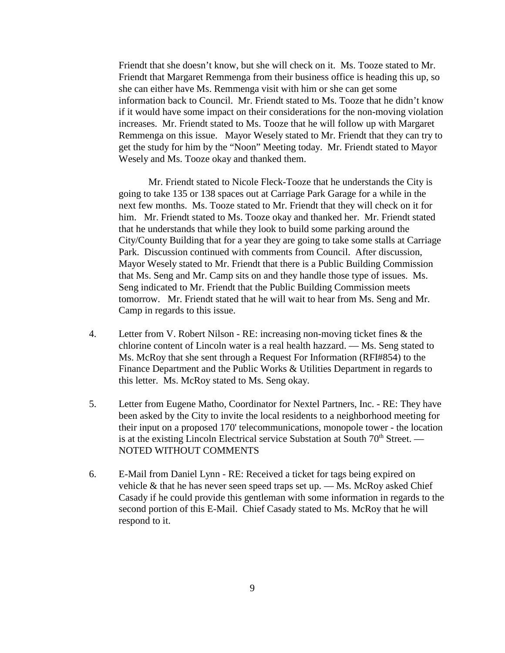Friendt that she doesn't know, but she will check on it. Ms. Tooze stated to Mr. Friendt that Margaret Remmenga from their business office is heading this up, so she can either have Ms. Remmenga visit with him or she can get some information back to Council. Mr. Friendt stated to Ms. Tooze that he didn't know if it would have some impact on their considerations for the non-moving violation increases. Mr. Friendt stated to Ms. Tooze that he will follow up with Margaret Remmenga on this issue. Mayor Wesely stated to Mr. Friendt that they can try to get the study for him by the "Noon" Meeting today. Mr. Friendt stated to Mayor Wesely and Ms. Tooze okay and thanked them.

Mr. Friendt stated to Nicole Fleck-Tooze that he understands the City is going to take 135 or 138 spaces out at Carriage Park Garage for a while in the next few months. Ms. Tooze stated to Mr. Friendt that they will check on it for him. Mr. Friendt stated to Ms. Tooze okay and thanked her. Mr. Friendt stated that he understands that while they look to build some parking around the City/County Building that for a year they are going to take some stalls at Carriage Park. Discussion continued with comments from Council. After discussion, Mayor Wesely stated to Mr. Friendt that there is a Public Building Commission that Ms. Seng and Mr. Camp sits on and they handle those type of issues. Ms. Seng indicated to Mr. Friendt that the Public Building Commission meets tomorrow. Mr. Friendt stated that he will wait to hear from Ms. Seng and Mr. Camp in regards to this issue.

- 4. Letter from V. Robert Nilson RE: increasing non-moving ticket fines & the chlorine content of Lincoln water is a real health hazzard. — Ms. Seng stated to Ms. McRoy that she sent through a Request For Information (RFI#854) to the Finance Department and the Public Works & Utilities Department in regards to this letter. Ms. McRoy stated to Ms. Seng okay.
- 5. Letter from Eugene Matho, Coordinator for Nextel Partners, Inc. RE: They have been asked by the City to invite the local residents to a neighborhood meeting for their input on a proposed 170' telecommunications, monopole tower - the location is at the existing Lincoln Electrical service Substation at South  $70<sup>th</sup>$  Street. — NOTED WITHOUT COMMENTS
- 6. E-Mail from Daniel Lynn RE: Received a ticket for tags being expired on vehicle  $\&$  that he has never seen speed traps set up.  $\&$  Ms. McRoy asked Chief Casady if he could provide this gentleman with some information in regards to the second portion of this E-Mail. Chief Casady stated to Ms. McRoy that he will respond to it.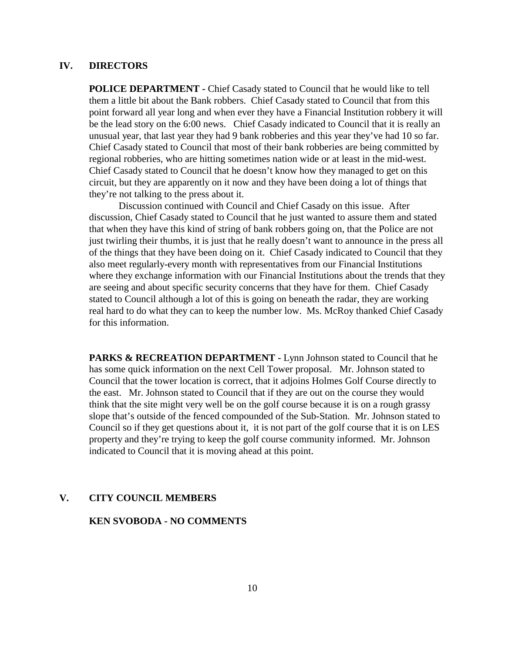## **IV. DIRECTORS**

**POLICE DEPARTMENT -** Chief Casady stated to Council that he would like to tell them a little bit about the Bank robbers. Chief Casady stated to Council that from this point forward all year long and when ever they have a Financial Institution robbery it will be the lead story on the 6:00 news. Chief Casady indicated to Council that it is really an unusual year, that last year they had 9 bank robberies and this year they've had 10 so far. Chief Casady stated to Council that most of their bank robberies are being committed by regional robberies, who are hitting sometimes nation wide or at least in the mid-west. Chief Casady stated to Council that he doesn't know how they managed to get on this circuit, but they are apparently on it now and they have been doing a lot of things that they're not talking to the press about it.

Discussion continued with Council and Chief Casady on this issue. After discussion, Chief Casady stated to Council that he just wanted to assure them and stated that when they have this kind of string of bank robbers going on, that the Police are not just twirling their thumbs, it is just that he really doesn't want to announce in the press all of the things that they have been doing on it. Chief Casady indicated to Council that they also meet regularly-every month with representatives from our Financial Institutions where they exchange information with our Financial Institutions about the trends that they are seeing and about specific security concerns that they have for them. Chief Casady stated to Council although a lot of this is going on beneath the radar, they are working real hard to do what they can to keep the number low. Ms. McRoy thanked Chief Casady for this information.

PARKS & RECREATION DEPARTMENT - Lynn Johnson stated to Council that he has some quick information on the next Cell Tower proposal. Mr. Johnson stated to Council that the tower location is correct, that it adjoins Holmes Golf Course directly to the east. Mr. Johnson stated to Council that if they are out on the course they would think that the site might very well be on the golf course because it is on a rough grassy slope that's outside of the fenced compounded of the Sub-Station. Mr. Johnson stated to Council so if they get questions about it, it is not part of the golf course that it is on LES property and they're trying to keep the golf course community informed. Mr. Johnson indicated to Council that it is moving ahead at this point.

#### **V. CITY COUNCIL MEMBERS**

#### **KEN SVOBODA - NO COMMENTS**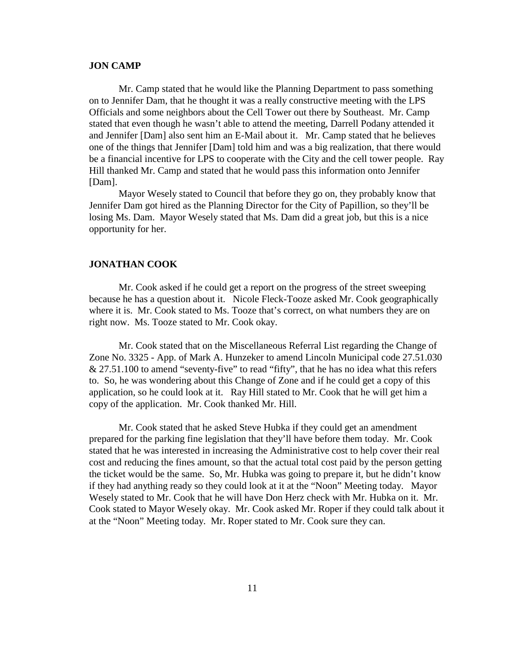#### **JON CAMP**

Mr. Camp stated that he would like the Planning Department to pass something on to Jennifer Dam, that he thought it was a really constructive meeting with the LPS Officials and some neighbors about the Cell Tower out there by Southeast. Mr. Camp stated that even though he wasn't able to attend the meeting, Darrell Podany attended it and Jennifer [Dam] also sent him an E-Mail about it. Mr. Camp stated that he believes one of the things that Jennifer [Dam] told him and was a big realization, that there would be a financial incentive for LPS to cooperate with the City and the cell tower people. Ray Hill thanked Mr. Camp and stated that he would pass this information onto Jennifer [Dam].

Mayor Wesely stated to Council that before they go on, they probably know that Jennifer Dam got hired as the Planning Director for the City of Papillion, so they'll be losing Ms. Dam. Mayor Wesely stated that Ms. Dam did a great job, but this is a nice opportunity for her.

#### **JONATHAN COOK**

Mr. Cook asked if he could get a report on the progress of the street sweeping because he has a question about it. Nicole Fleck-Tooze asked Mr. Cook geographically where it is. Mr. Cook stated to Ms. Tooze that's correct, on what numbers they are on right now. Ms. Tooze stated to Mr. Cook okay.

Mr. Cook stated that on the Miscellaneous Referral List regarding the Change of Zone No. 3325 - App. of Mark A. Hunzeker to amend Lincoln Municipal code 27.51.030 & 27.51.100 to amend "seventy-five" to read "fifty", that he has no idea what this refers to. So, he was wondering about this Change of Zone and if he could get a copy of this application, so he could look at it. Ray Hill stated to Mr. Cook that he will get him a copy of the application. Mr. Cook thanked Mr. Hill.

Mr. Cook stated that he asked Steve Hubka if they could get an amendment prepared for the parking fine legislation that they'll have before them today. Mr. Cook stated that he was interested in increasing the Administrative cost to help cover their real cost and reducing the fines amount, so that the actual total cost paid by the person getting the ticket would be the same. So, Mr. Hubka was going to prepare it, but he didn't know if they had anything ready so they could look at it at the "Noon" Meeting today. Mayor Wesely stated to Mr. Cook that he will have Don Herz check with Mr. Hubka on it. Mr. Cook stated to Mayor Wesely okay. Mr. Cook asked Mr. Roper if they could talk about it at the "Noon" Meeting today. Mr. Roper stated to Mr. Cook sure they can.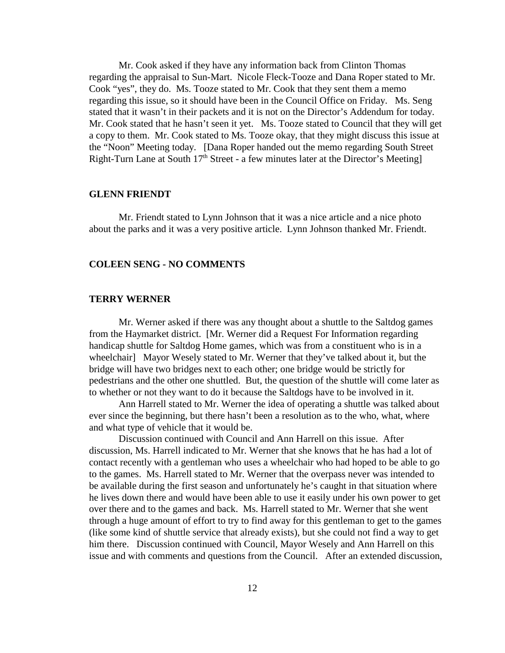Mr. Cook asked if they have any information back from Clinton Thomas regarding the appraisal to Sun-Mart. Nicole Fleck-Tooze and Dana Roper stated to Mr. Cook "yes", they do. Ms. Tooze stated to Mr. Cook that they sent them a memo regarding this issue, so it should have been in the Council Office on Friday. Ms. Seng stated that it wasn't in their packets and it is not on the Director's Addendum for today. Mr. Cook stated that he hasn't seen it yet. Ms. Tooze stated to Council that they will get a copy to them. Mr. Cook stated to Ms. Tooze okay, that they might discuss this issue at the "Noon" Meeting today. [Dana Roper handed out the memo regarding South Street Right-Turn Lane at South  $17<sup>th</sup>$  Street - a few minutes later at the Director's Meeting]

#### **GLENN FRIENDT**

Mr. Friendt stated to Lynn Johnson that it was a nice article and a nice photo about the parks and it was a very positive article. Lynn Johnson thanked Mr. Friendt.

#### **COLEEN SENG - NO COMMENTS**

## **TERRY WERNER**

Mr. Werner asked if there was any thought about a shuttle to the Saltdog games from the Haymarket district. [Mr. Werner did a Request For Information regarding handicap shuttle for Saltdog Home games, which was from a constituent who is in a wheelchair] Mayor Wesely stated to Mr. Werner that they've talked about it, but the bridge will have two bridges next to each other; one bridge would be strictly for pedestrians and the other one shuttled. But, the question of the shuttle will come later as to whether or not they want to do it because the Saltdogs have to be involved in it.

Ann Harrell stated to Mr. Werner the idea of operating a shuttle was talked about ever since the beginning, but there hasn't been a resolution as to the who, what, where and what type of vehicle that it would be.

Discussion continued with Council and Ann Harrell on this issue. After discussion, Ms. Harrell indicated to Mr. Werner that she knows that he has had a lot of contact recently with a gentleman who uses a wheelchair who had hoped to be able to go to the games. Ms. Harrell stated to Mr. Werner that the overpass never was intended to be available during the first season and unfortunately he's caught in that situation where he lives down there and would have been able to use it easily under his own power to get over there and to the games and back. Ms. Harrell stated to Mr. Werner that she went through a huge amount of effort to try to find away for this gentleman to get to the games (like some kind of shuttle service that already exists), but she could not find a way to get him there. Discussion continued with Council, Mayor Wesely and Ann Harrell on this issue and with comments and questions from the Council. After an extended discussion,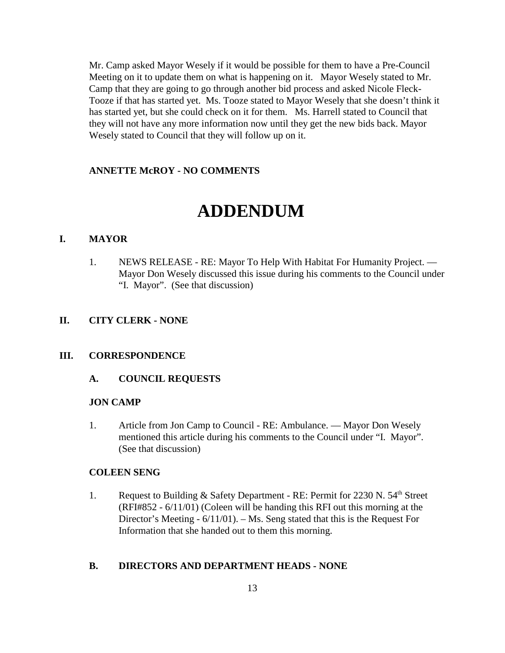Mr. Camp asked Mayor Wesely if it would be possible for them to have a Pre-Council Meeting on it to update them on what is happening on it. Mayor Wesely stated to Mr. Camp that they are going to go through another bid process and asked Nicole Fleck-Tooze if that has started yet. Ms. Tooze stated to Mayor Wesely that she doesn't think it has started yet, but she could check on it for them. Ms. Harrell stated to Council that they will not have any more information now until they get the new bids back. Mayor Wesely stated to Council that they will follow up on it.

#### **ANNETTE McROY - NO COMMENTS**

# **ADDENDUM**

#### **I. MAYOR**

1. NEWS RELEASE - RE: Mayor To Help With Habitat For Humanity Project. — Mayor Don Wesely discussed this issue during his comments to the Council under "I. Mayor". (See that discussion)

#### **II. CITY CLERK - NONE**

#### **III. CORRESPONDENCE**

**A. COUNCIL REQUESTS** 

#### **JON CAMP**

1. Article from Jon Camp to Council - RE: Ambulance. — Mayor Don Wesely mentioned this article during his comments to the Council under "I. Mayor". (See that discussion)

#### **COLEEN SENG**

1. Request to Building & Safety Department - RE: Permit for 2230 N.  $54<sup>th</sup>$  Street (RFI#852 - 6/11/01) (Coleen will be handing this RFI out this morning at the Director's Meeting - 6/11/01). – Ms. Seng stated that this is the Request For Information that she handed out to them this morning.

#### **B. DIRECTORS AND DEPARTMENT HEADS - NONE**